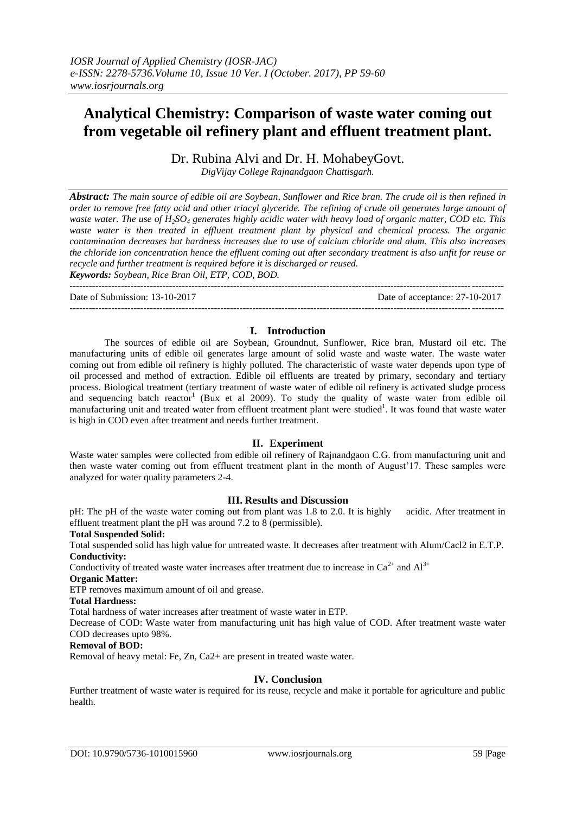# **Analytical Chemistry: Comparison of waste water coming out from vegetable oil refinery plant and effluent treatment plant.**

Dr. Rubina Alvi and Dr. H. MohabeyGovt.

*DigVijay College Rajnandgaon Chattisgarh.*

*Abstract: The main source of edible oil are Soybean, Sunflower and Rice bran. The crude oil is then refined in order to remove free fatty acid and other triacyl glyceride. The refining of crude oil generates large amount of waste water. The use of H2SO<sup>4</sup> generates highly acidic water with heavy load of organic matter, COD etc. This waste water is then treated in effluent treatment plant by physical and chemical process. The organic contamination decreases but hardness increases due to use of calcium chloride and alum. This also increases the chloride ion concentration hence the effluent coming out after secondary treatment is also unfit for reuse or recycle and further treatment is required before it is discharged or reused.*

*Keywords: Soybean, Rice Bran Oil, ETP, COD, BOD.* ---------------------------------------------------------------------------------------------------------------------------------------

Date of Submission: 13-10-2017 Date of acceptance: 27-10-2017

# ---------------------------------------------------------------------------------------------------------------------------------------

## **I. Introduction**

The sources of edible oil are Soybean, Groundnut, Sunflower, Rice bran, Mustard oil etc. The manufacturing units of edible oil generates large amount of solid waste and waste water. The waste water coming out from edible oil refinery is highly polluted. The characteristic of waste water depends upon type of oil processed and method of extraction. Edible oil effluents are treated by primary, secondary and tertiary process. Biological treatment (tertiary treatment of waste water of edible oil refinery is activated sludge process and sequencing batch reactor<sup>1</sup> (Bux et al 2009). To study the quality of waste water from edible oil manufacturing unit and treated water from effluent treatment plant were studied<sup>1</sup>. It was found that waste water is high in COD even after treatment and needs further treatment.

# **II. Experiment**

Waste water samples were collected from edible oil refinery of Rajnandgaon C.G. from manufacturing unit and then waste water coming out from effluent treatment plant in the month of August'17. These samples were analyzed for water quality parameters 2-4.

# **III. Results and Discussion**

pH: The pH of the waste water coming out from plant was 1.8 to 2.0. It is highly acidic. After treatment in effluent treatment plant the pH was around 7.2 to 8 (permissible).

# **Total Suspended Solid:**

Total suspended solid has high value for untreated waste. It decreases after treatment with Alum/Cacl2 in E.T.P. **Conductivity:**

Conductivity of treated waste water increases after treatment due to increase in  $Ca^{2+}$  and  $Al^{3+}$ 

#### **Organic Matter:**

ETP removes maximum amount of oil and grease.

**Total Hardness:**

Total hardness of water increases after treatment of waste water in ETP.

Decrease of COD: Waste water from manufacturing unit has high value of COD. After treatment waste water COD decreases upto 98%.

#### **Removal of BOD:**

Removal of heavy metal: Fe, Zn, Ca2+ are present in treated waste water.

#### **IV. Conclusion**

Further treatment of waste water is required for its reuse, recycle and make it portable for agriculture and public health.